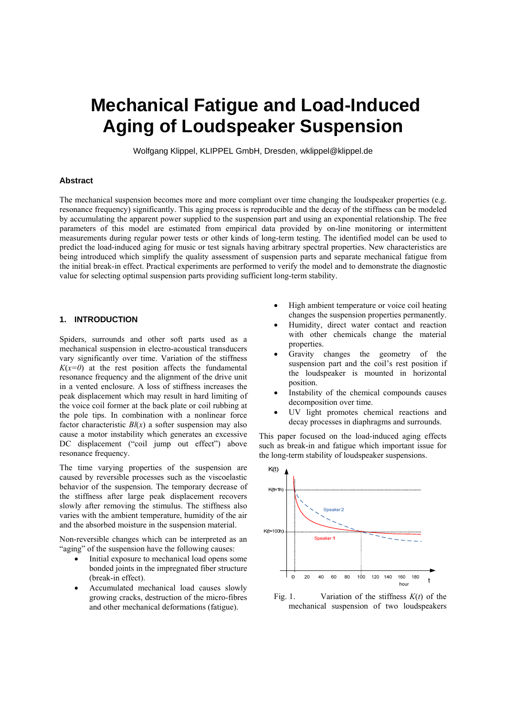# **Mechanical Fatigue and Load-Induced Aging of Loudspeaker Suspension**

Wolfgang Klippel, KLIPPEL GmbH, Dresden, wklippel@klippel.de

# **Abstract**

The mechanical suspension becomes more and more compliant over time changing the loudspeaker properties (e.g. resonance frequency) significantly. This aging process is reproducible and the decay of the stiffness can be modeled by accumulating the apparent power supplied to the suspension part and using an exponential relationship. The free parameters of this model are estimated from empirical data provided by on-line monitoring or intermittent measurements during regular power tests or other kinds of long-term testing. The identified model can be used to predict the load-induced aging for music or test signals having arbitrary spectral properties. New characteristics are being introduced which simplify the quality assessment of suspension parts and separate mechanical fatigue from the initial break-in effect. Practical experiments are performed to verify the model and to demonstrate the diagnostic value for selecting optimal suspension parts providing sufficient long-term stability.

# **1. INTRODUCTION**

Spiders, surrounds and other soft parts used as a mechanical suspension in electro-acoustical transducers vary significantly over time. Variation of the stiffness  $K(x=0)$  at the rest position affects the fundamental resonance frequency and the alignment of the drive unit in a vented enclosure. A loss of stiffness increases the peak displacement which may result in hard limiting of the voice coil former at the back plate or coil rubbing at the pole tips. In combination with a nonlinear force factor characteristic *Bl*(*x*) a softer suspension may also cause a motor instability which generates an excessive DC displacement ("coil jump out effect") above resonance frequency.

The time varying properties of the suspension are caused by reversible processes such as the viscoelastic behavior of the suspension. The temporary decrease of the stiffness after large peak displacement recovers slowly after removing the stimulus. The stiffness also varies with the ambient temperature, humidity of the air and the absorbed moisture in the suspension material.

Non-reversible changes which can be interpreted as an "aging" of the suspension have the following causes:

- Initial exposure to mechanical load opens some bonded joints in the impregnated fiber structure (break-in effect).
- Accumulated mechanical load causes slowly growing cracks, destruction of the micro-fibres and other mechanical deformations (fatigue).
- High ambient temperature or voice coil heating changes the suspension properties permanently.
- Humidity, direct water contact and reaction with other chemicals change the material properties.
- Gravity changes the geometry of the suspension part and the coil's rest position if the loudspeaker is mounted in horizontal position.
- Instability of the chemical compounds causes decomposition over time.
- UV light promotes chemical reactions and decay processes in diaphragms and surrounds.

This paper focused on the load-induced aging effects such as break-in and fatigue which important issue for the long-term stability of loudspeaker suspensions.



Fig. 1. Variation of the stiffness *K*(*t*) of the mechanical suspension of two loudspeakers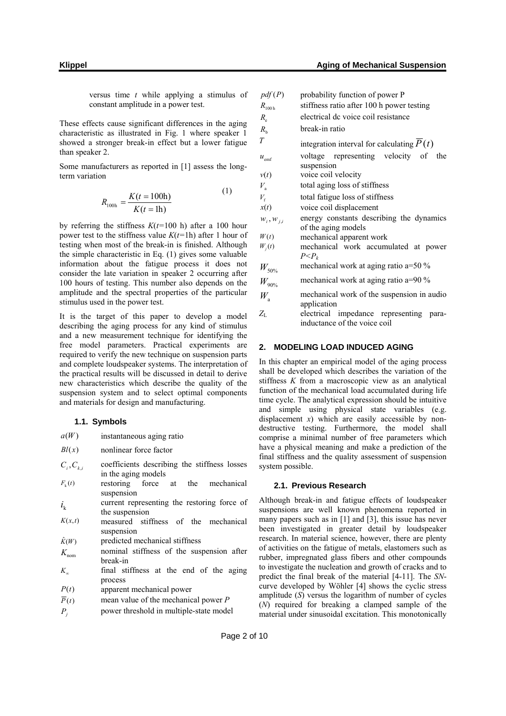versus time *t* while applying a stimulus of constant amplitude in a power test.

These effects cause significant differences in the aging characteristic as illustrated in Fig. 1 where speaker 1 showed a stronger break-in effect but a lower fatigue than speaker 2.

Some manufacturers as reported in [1] assess the longterm variation

$$
R_{100h} = \frac{K(t = 100h)}{K(t = 1h)}
$$
 (1)

by referring the stiffness *K*(*t=*100 h) after a 100 hour power test to the stiffness value  $K(t=1h)$  after 1 hour of testing when most of the break-in is finished. Although the simple characteristic in Eq. (1) gives some valuable information about the fatigue process it does not consider the late variation in speaker 2 occurring after 100 hours of testing. This number also depends on the amplitude and the spectral properties of the particular stimulus used in the power test.

It is the target of this paper to develop a model describing the aging process for any kind of stimulus and a new measurement technique for identifying the free model parameters. Practical experiments are required to verify the new technique on suspension parts and complete loudspeaker systems. The interpretation of the practical results will be discussed in detail to derive new characteristics which describe the quality of the suspension system and to select optimal components and materials for design and manufacturing.

#### **1.1. Symbols**

| a(W) | instantaneous aging ratio |  |
|------|---------------------------|--|
|      |                           |  |

- *Bl*(*x*) nonlinear force factor
- $C_i, C_k$  coefficients describing the stiffness losses in the aging models
- $F_k(t)$  restoring force at the mechanical suspension

 $i_k$  current representing the restoring force of the suspension

- $K(x,t)$  measured stiffness of the mechanical suspension
- $\hat{K}(W)$  predicted mechanical stiffness
- $K_{\text{nom}}$  nominal stiffness of the suspension after break-in
- $K_{\infty}$  final stiffness at the end of the aging process
- *P*(*t*) apparent mechanical power
- $\overline{P}(t)$  mean value of the mechanical power *P*
- *P<sub>i</sub>* power threshold in multiple-state model

| pdf(P)           | probability function of power P                                  |  |  |
|------------------|------------------------------------------------------------------|--|--|
| $R_{100h}$       | stiffness ratio after 100 h power testing                        |  |  |
| $R_{\rm e}$      | electrical de voice coil resistance                              |  |  |
| $R_{\rm h}$      | break-in ratio                                                   |  |  |
| T                | integration interval for calculating $P(t)$                      |  |  |
| $u_{\text{emf}}$ | voltage representing velocity of<br>the<br>suspension            |  |  |
| v(t)             | voice coil velocity                                              |  |  |
| $V_{\rm a}$      | total aging loss of stiffness                                    |  |  |
| $V_{\rm f}$      | total fatigue loss of stiffness                                  |  |  |
| x(t)             | voice coil displacement                                          |  |  |
| $W_i, W_{j,i}$   | energy constants describing the dynamics<br>of the aging models  |  |  |
| W(t)             | mechanical apparent work                                         |  |  |
| $W_i(t)$         | mechanical work accumulated at power                             |  |  |
|                  | $P < P_k$                                                        |  |  |
| $W_{50\%}$       | mechanical work at aging ratio $a=50\%$                          |  |  |
| $W_{90\%}$       | mechanical work at aging ratio $a=90\%$                          |  |  |
|                  | $\mathbf{1}$ $\mathbf{1}$ $\mathbf{1}$ $\mathbf{0}$ $\mathbf{1}$ |  |  |

- $W_{a}$  mechanical work of the suspension in audio application
- *Z*<sup>L</sup> electrical impedance representing parainductance of the voice coil

#### **2. MODELING LOAD INDUCED AGING**

In this chapter an empirical model of the aging process shall be developed which describes the variation of the stiffness *K* from a macroscopic view as an analytical function of the mechanical load accumulated during life time cycle. The analytical expression should be intuitive and simple using physical state variables (e.g. displacement *x*) which are easily accessible by nondestructive testing. Furthermore, the model shall comprise a minimal number of free parameters which have a physical meaning and make a prediction of the final stiffness and the quality assessment of suspension system possible.

# **2.1. Previous Research**

Although break-in and fatigue effects of loudspeaker suspensions are well known phenomena reported in many papers such as in [1] and [3], this issue has never been investigated in greater detail by loudspeaker research. In material science, however, there are plenty of activities on the fatigue of metals, elastomers such as rubber, impregnated glass fibers and other compounds to investigate the nucleation and growth of cracks and to predict the final break of the material [4-11]. The *SN*curve developed by Wöhler [4] shows the cyclic stress amplitude (*S*) versus the logarithm of number of cycles (*N*) required for breaking a clamped sample of the material under sinusoidal excitation. This monotonically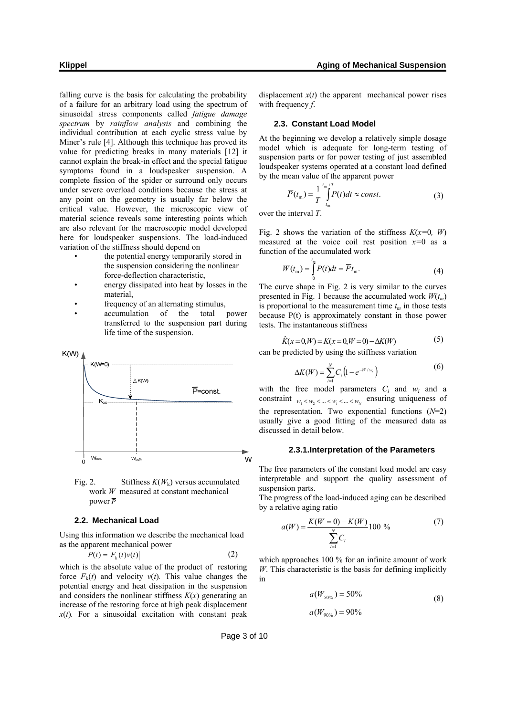falling curve is the basis for calculating the probability of a failure for an arbitrary load using the spectrum of sinusoidal stress components called *fatigue damage spectrum* by *rainflow analysis* and combining the individual contribution at each cyclic stress value by Miner's rule [4]. Although this technique has proved its value for predicting breaks in many materials [12] it cannot explain the break-in effect and the special fatigue symptoms found in a loudspeaker suspension. A complete fission of the spider or surround only occurs under severe overload conditions because the stress at any point on the geometry is usually far below the critical value. However, the microscopic view of material science reveals some interesting points which are also relevant for the macroscopic model developed here for loudspeaker suspensions. The load-induced variation of the stiffness should depend on

- the potential energy temporarily stored in the suspension considering the nonlinear force-deflection characteristic,
- energy dissipated into heat by losses in the material,
- frequency of an alternating stimulus,
- accumulation of the total power transferred to the suspension part during life time of the suspension.



Fig. 2. Stiffness *K*(*W*k) versus accumulated work *W* measured at constant mechanical power *P*

#### **2.2. Mechanical Load**

Using this information we describe the mechanical load as the apparent mechanical power

$$
P(t) = |F_k(t)v(t)| \tag{2}
$$

which is the absolute value of the product of restoring force  $F_k(t)$  and velocity  $v(t)$ . This value changes the potential energy and heat dissipation in the suspension and considers the nonlinear stiffness  $K(x)$  generating an increase of the restoring force at high peak displacement  $x(t)$ . For a sinusoidal excitation with constant peak

displacement  $x(t)$  the apparent mechanical power rises with frequency *f*.

#### **2.3. Constant Load Model**

At the beginning we develop a relatively simple dosage model which is adequate for long-term testing of suspension parts or for power testing of just assembled loudspeaker systems operated at a constant load defined by the mean value of the apparent power

$$
\overline{P}(t_{\rm m}) = \frac{1}{T} \int_{t_{\rm m}}^{t_{\rm m}+T} P(t)dt \approx const.
$$
\n(3)

over the interval *T*.

Fig. 2 shows the variation of the stiffness  $K(x=0, W)$ measured at the voice coil rest position *x=*0 as a function of the accumulated work

$$
W(tm) = \int_{0}^{t_{m}} P(t)dt = \overline{P}t_{m}.
$$
 (4)

The curve shape in Fig. 2 is very similar to the curves presented in Fig. 1 because the accumulated work  $W(t_m)$ is proportional to the measurement time  $t_m$  in those tests because P(t) is approximately constant in those power tests. The instantaneous stiffness

$$
\hat{K}(x=0,W) = K(x=0,W=0) - \Delta K(W)
$$
 (5)

can be predicted by using the stiffness variation

$$
\Delta K(W) = \sum_{i=1}^{N} C_i \left( 1 - e^{-W/w_i} \right) \tag{6}
$$

with the free model parameters  $C_i$  and  $w_i$  and a constraint  $w_1 < w_2 < ... < w_i < ... < w_N$  ensuring uniqueness of the representation. Two exponential functions (*N*=2) usually give a good fitting of the measured data as discussed in detail below.

#### **2.3.1. Interpretation of the Parameters**

The free parameters of the constant load model are easy interpretable and support the quality assessment of suspension parts.

The progress of the load-induced aging can be described by a relative aging ratio

$$
a(W) = \frac{K(W=0) - K(W)}{\sum_{i=1}^{N} C_i} 100\%
$$
 (7)

which approaches 100 % for an infinite amount of work *W*. This characteristic is the basis for defining implicitly in

$$
a(W_{50\%}) = 50\% \tag{8}
$$

$$
a(W_{90\%}) = 90\%
$$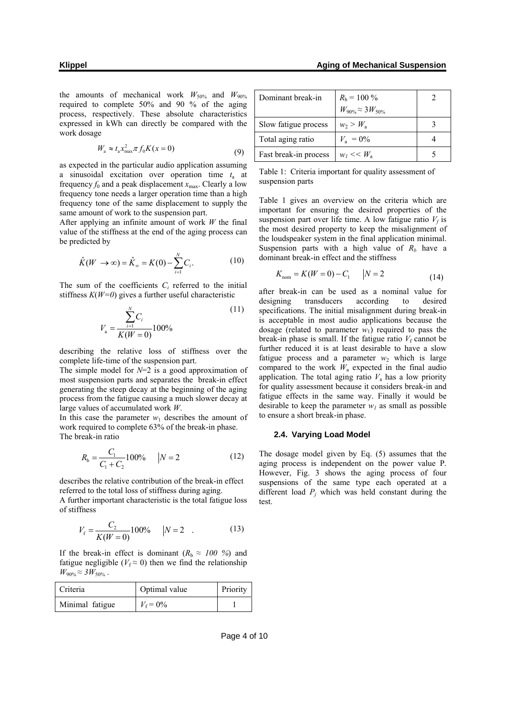the amounts of mechanical work  $W_{50\%}$  and  $W_{90\%}$ required to complete 50% and 90 % of the aging process, respectively. These absolute characteristics expressed in kWh can directly be compared with the work dosage

$$
W_{\rm a} \approx t_{\rm a} x_{\rm max}^2 \pi f_0 K(x=0) \tag{9}
$$

as expected in the particular audio application assuming a sinusoidal excitation over operation time *t*a at frequency  $f_0$  and a peak displacement  $x_{\text{max}}$ . Clearly a low frequency tone needs a larger operation time than a high frequency tone of the same displacement to supply the same amount of work to the suspension part.

After applying an infinite amount of work *W* the final value of the stiffness at the end of the aging process can be predicted by

$$
\hat{K}(W \to \infty) = \hat{K}_{\infty} = K(0) - \sum_{i=1}^{N} C_i.
$$
 (10)

The sum of the coefficients  $C_i$  referred to the initial stiffness  $K(W=0)$  gives a further useful characteristic

$$
V_{\rm a} = \frac{\sum_{i=1}^{N} C_i}{K(W=0)} 100\%
$$
\n(11)

describing the relative loss of stiffness over the complete life-time of the suspension part.

The simple model for *N*=2 is a good approximation of most suspension parts and separates the break-in effect generating the steep decay at the beginning of the aging process from the fatigue causing a much slower decay at large values of accumulated work *W*.

In this case the parameter  $w_1$  describes the amount of work required to complete 63% of the break-in phase. The break-in ratio

$$
R_{\rm b} = \frac{C_1}{C_1 + C_2} 100\% \qquad |N = 2 \tag{12}
$$

describes the relative contribution of the break-in effect referred to the total loss of stiffness during aging.

A further important characteristic is the total fatigue loss of stiffness

$$
V_{\rm f} = \frac{C_2}{K(W=0)} 100\% \qquad |N=2 \quad . \tag{13}
$$

If the break-in effect is dominant  $(R_h \approx 100\%)$  and fatigue negligible ( $V_f \approx 0$ ) then we find the relationship  $W_{90\%} \approx 3W_{50\%}$ .

| Criteria        | Optimal value     | Priority |
|-----------------|-------------------|----------|
| Minimal fatigue | $V_{\rm f} = 0\%$ |          |

| Dominant break-in     | $R_{\rm b}$ = 100 %           |  |
|-----------------------|-------------------------------|--|
|                       | $W_{90\%} \approx 3 W_{50\%}$ |  |
| Slow fatigue process  | $w_2 > W_a$                   |  |
| Total aging ratio     | $V_{\rm a} = 0\%$             |  |
| Fast break-in process | $w_1 \ll W_{\rm a}$           |  |

Table 1: Criteria important for quality assessment of suspension parts

Table 1 gives an overview on the criteria which are important for ensuring the desired properties of the suspension part over life time. A low fatigue ratio  $V_f$  is the most desired property to keep the misalignment of the loudspeaker system in the final application minimal. Suspension parts with a high value of  $R_b$  have a dominant break-in effect and the stiffness

$$
K_{\text{nom}} = K(W = 0) - C_1 \qquad |N = 2 \tag{14}
$$

after break-in can be used as a nominal value for designing transducers according to desired specifications. The initial misalignment during break-in is acceptable in most audio applications because the dosage (related to parameter  $w_1$ ) required to pass the break-in phase is small. If the fatigue ratio  $V_f$  cannot be further reduced it is at least desirable to have a slow fatigue process and a parameter  $w_2$  which is large compared to the work  $W_a$  expected in the final audio application. The total aging ratio  $V_a$  has a low priority for quality assessment because it considers break-in and fatigue effects in the same way. Finally it would be desirable to keep the parameter  $w_l$  as small as possible to ensure a short break-in phase.

# **2.4. Varying Load Model**

The dosage model given by Eq. (5) assumes that the aging process is independent on the power value P. However, Fig. 3 shows the aging process of four suspensions of the same type each operated at a different load  $P_i$  which was held constant during the test.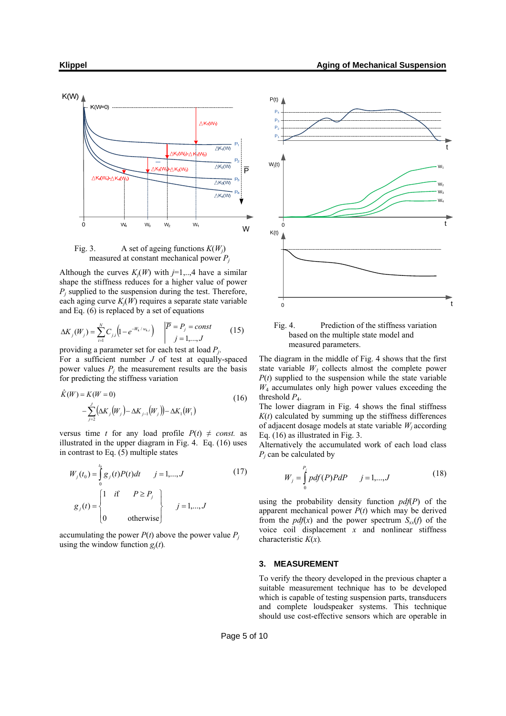

Fig. 3. A set of ageing functions *K*(*Wj*) measured at constant mechanical power  $P_i$ 

Although the curves  $K_i(W)$  with  $j=1,..,4$  have a similar shape the stiffness reduces for a higher value of power  $P_i$  supplied to the suspension during the test. Therefore, each aging curve *Kj*(*W*) requires a separate state variable and Eq. (6) is replaced by a set of equations

$$
\Delta K_j(W_j) = \sum_{i=1}^N C_{j,i} \left( 1 - e^{-W_k/w_{k,i}} \right) \quad \begin{vmatrix} \overline{P} = P_j = const \\ j = 1, ..., J \end{vmatrix} \tag{15}
$$

providing a parameter set for each test at load *Pj*. For a sufficient number *J* of test at equally-spaced power values  $P_i$  the measurement results are the basis for predicting the stiffness variation

$$
\hat{K}(W) = K(W = 0) \n- \sum_{j=2}^{J} (\Delta K_j(W_j) - \Delta K_{j-1}(W_j)) - \Delta K_1(W_1)
$$
\n(16)

versus time *t* for any load profile  $P(t) \neq const.$  as illustrated in the upper diagram in Fig. 4. Eq. (16) uses in contrast to Eq. (5) multiple states

$$
W_j(t_0) = \int_0^{t_0} g_j(t)P(t)dt \qquad j = 1,...,J
$$
\n
$$
g_j(t) = \begin{cases} 1 & \text{if } P \ge P_j \\ 0 & \text{otherwise} \end{cases} \qquad j = 1,...,J
$$
\n(17)

accumulating the power  $P(t)$  above the power value  $P_i$ using the window function  $g_i(t)$ .



Fig. 4. Prediction of the stiffness variation based on the multiple state model and measured parameters.

The diagram in the middle of Fig. 4 shows that the first state variable  $W_l$  collects almost the complete power  $P(t)$  supplied to the suspension while the state variable  $W_4$  accumulates only high power values exceeding the threshold  $P_4$ .

The lower diagram in Fig. 4 shows the final stiffness  $K(t)$  calculated by summing up the stiffness differences of adjacent dosage models at state variable  $W_i$  according Eq. (16) as illustrated in Fig. 3.

Alternatively the accumulated work of each load class *Pj* can be calculated by

$$
W_j = \int_{0}^{P_j} pdf(P)PdP \qquad j = 1,...,J
$$
 (18)

using the probability density function *pdf*(*P*) of the apparent mechanical power  $P(t)$  which may be derived from the  $pdf(x)$  and the power spectrum  $S_{xx}(f)$  of the voice coil displacement *x* and nonlinear stiffness characteristic *K*(*x*)*.*

#### **3. MEASUREMENT**

To verify the theory developed in the previous chapter a suitable measurement technique has to be developed which is capable of testing suspension parts, transducers and complete loudspeaker systems. This technique should use cost-effective sensors which are operable in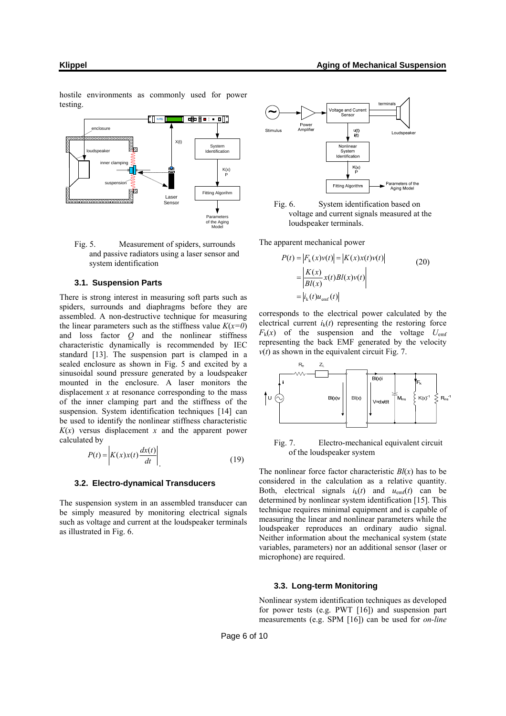**BBBB: ■** enclosure X(t) System Sz. Identification loudspeaker inner clamping K(x) P suspension Fitting Algorihm Laser Sensor Parameters of the Aging Model

Fig. 5. Measurement of spiders, surrounds and passive radiators using a laser sensor and

#### **3.1. Suspension Parts**

system identification

There is strong interest in measuring soft parts such as spiders, surrounds and diaphragms before they are assembled. A non-destructive technique for measuring the linear parameters such as the stiffness value  $K(x=0)$ and loss factor *Q* and the nonlinear stiffness characteristic dynamically is recommended by IEC standard [13]. The suspension part is clamped in a sealed enclosure as shown in Fig. 5 and excited by a sinusoidal sound pressure generated by a loudspeaker mounted in the enclosure. A laser monitors the displacement  $x$  at resonance corresponding to the mass of the inner clamping part and the stiffness of the suspension. System identification techniques [14] can be used to identify the nonlinear stiffness characteristic  $K(x)$  versus displacement *x* and the apparent power calculated by

$$
P(t) = \left| K(x)x(t) \frac{dx(t)}{dt} \right| \tag{19}
$$

#### **3.2. Electro-dynamical Transducers**

The suspension system in an assembled transducer can be simply measured by monitoring electrical signals such as voltage and current at the loudspeaker terminals as illustrated in Fig. 6.



Fig. 6. System identification based on voltage and current signals measured at the loudspeaker terminals.

The apparent mechanical power

$$
P(t) = |F_k(x)v(t)| = |K(x)x(t)v(t)|
$$
  
\n
$$
= \left| \frac{K(x)}{Bl(x)} x(t)Bl(x)v(t) \right|
$$
  
\n
$$
= |i_k(t)u_{\text{emf}}(t)|
$$
\n(20)

corresponds to the electrical power calculated by the electrical current  $i_k(t)$  representing the restoring force  $F_k(x)$  of the suspension and the voltage  $U_{\text{emf}}$ representing the back EMF generated by the velocity  $v(t)$  as shown in the equivalent circuit Fig. 7.



Fig. 7. Electro-mechanical equivalent circuit of the loudspeaker system

The nonlinear force factor characteristic  $Bl(x)$  has to be considered in the calculation as a relative quantity. Both, electrical signals  $i_k(t)$  and  $u_{emf}(t)$  can be determined by nonlinear system identification [15]. This technique requires minimal equipment and is capable of measuring the linear and nonlinear parameters while the loudspeaker reproduces an ordinary audio signal. Neither information about the mechanical system (state variables, parameters) nor an additional sensor (laser or microphone) are required.

#### **3.3. Long-term Monitoring**

Nonlinear system identification techniques as developed for power tests (e.g. PWT [16]) and suspension part measurements (e.g. SPM [16]) can be used for *on-line* 

hostile environments as commonly used for power testing.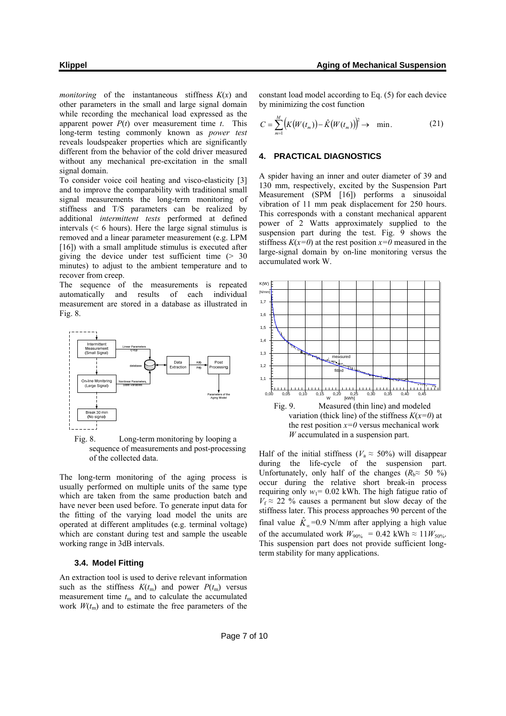*monitoring* of the instantaneous stiffness  $K(x)$  and other parameters in the small and large signal domain while recording the mechanical load expressed as the apparent power *P*(*t*) over measurement time *t*. This long-term testing commonly known as *power test* reveals loudspeaker properties which are significantly different from the behavior of the cold driver measured without any mechanical pre-excitation in the small signal domain.

To consider voice coil heating and visco-elasticity [3] and to improve the comparability with traditional small signal measurements the long-term monitoring of stiffness and T/S parameters can be realized by additional *intermittent tests* performed at defined intervals (< 6 hours). Here the large signal stimulus is removed and a linear parameter measurement (e.g. LPM [16]) with a small amplitude stimulus is executed after giving the device under test sufficient time  $(> 30$ minutes) to adjust to the ambient temperature and to recover from creep.

The sequence of the measurements is repeated automatically and results of each individual measurement are stored in a database as illustrated in Fig. 8.



Fig. 8. Long-term monitoring by looping a sequence of measurements and post-processing of the collected data.

The long-term monitoring of the aging process is usually performed on multiple units of the same type which are taken from the same production batch and have never been used before. To generate input data for the fitting of the varying load model the units are operated at different amplitudes (e.g. terminal voltage) which are constant during test and sample the useable working range in 3dB intervals.

# **3.4. Model Fitting**

An extraction tool is used to derive relevant information such as the stiffness  $K(t_m)$  and power  $P(t_m)$  versus measurement time  $t_m$  and to calculate the accumulated work  $W(t_m)$  and to estimate the free parameters of the

constant load model according to Eq. (5) for each device by minimizing the cost function

$$
C = \sum_{m=1}^{M} \left( K(W(t_m)) - \hat{K}(W(t_m)) \right)^2 \to \text{min.}
$$
 (21)

#### **4. PRACTICAL DIAGNOSTICS**

A spider having an inner and outer diameter of 39 and 130 mm, respectively, excited by the Suspension Part Measurement (SPM [16]) performs a sinusoidal vibration of 11 mm peak displacement for 250 hours. This corresponds with a constant mechanical apparent power of 2 Watts approximately supplied to the suspension part during the test. Fig. 9 shows the stiffness  $K(x=0)$  at the rest position  $x=0$  measured in the large-signal domain by on-line monitoring versus the accumulated work W.



Half of the initial stiffness ( $V_a \approx 50\%$ ) will disappear during the life-cycle of the suspension part. Unfortunately, only half of the changes ( $R_b \approx 50\%$ ) occur during the relative short break-in process requiring only  $w_1$ = 0.02 kWh. The high fatigue ratio of  $V_f \approx 22$  % causes a permanent but slow decay of the stiffness later. This process approaches 90 percent of the final value  $\hat{K}_{\infty}$ =0.9 N/mm after applying a high value of the accumulated work  $W_{90\%} = 0.42$  kWh  $\approx 11 W_{50\%}$ . This suspension part does not provide sufficient longterm stability for many applications.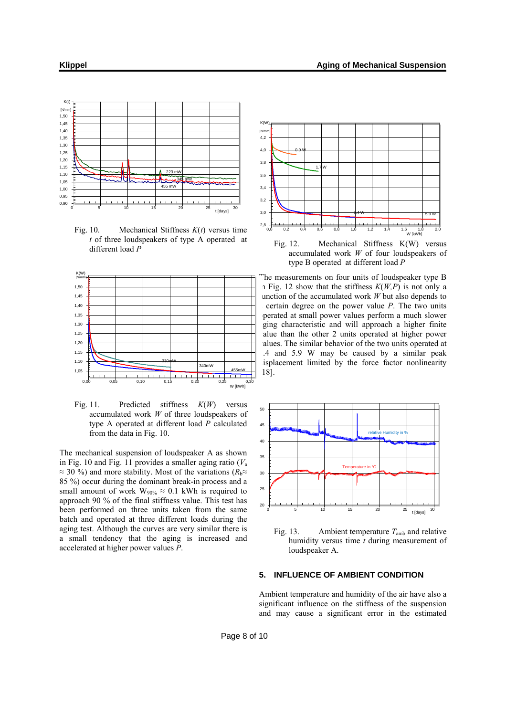

Fig. 10. Mechanical Stiffness *K*(*t*) versus time *t* of three loudspeakers of type A operated at different load *P*



Fig. 11. Predicted stiffness *K*(*W*) versus accumulated work *W* of three loudspeakers of type A operated at different load *P* calculated from the data in Fig. 10.

The mechanical suspension of loudspeaker A as shown in Fig. 10 and Fig. 11 provides a smaller aging ratio  $(V_a)$ *≈* 30 %) and more stability. Most of the variations (*R*b*≈* 85 %) occur during the dominant break-in process and a small amount of work  $W_{90\%} \approx 0.1$  kWh is required to approach 90 % of the final stiffness value. This test has been performed on three units taken from the same batch and operated at three different loads during the aging test. Although the curves are very similar there is a small tendency that the aging is increased and accelerated at higher power values *P*.



Fig. 12. Mechanical Stiffness K(W) versus accumulated work *W* of four loudspeakers of type B operated at different load *P*

The measurements on four units of loudspeaker type B in Fig. 12 show that the stiffness  $K(W, P)$  is not only a unction of the accumulated work  $W$  but also depends to a certain degree on the power value *P*. The two units perated at small power values perform a much slower ging characteristic and will approach a higher finite alue than the other 2 units operated at higher power alues. The similar behavior of the two units operated at 3.4 and 5.9 W may be caused by a similar peak isplacement limited by the force factor nonlinearity [18].



Fig. 13. Ambient temperature  $T_{amb}$  and relative humidity versus time *t* during measurement of loudspeaker A.

# **5. INFLUENCE OF AMBIENT CONDITION**

Ambient temperature and humidity of the air have also a significant influence on the stiffness of the suspension and may cause a significant error in the estimated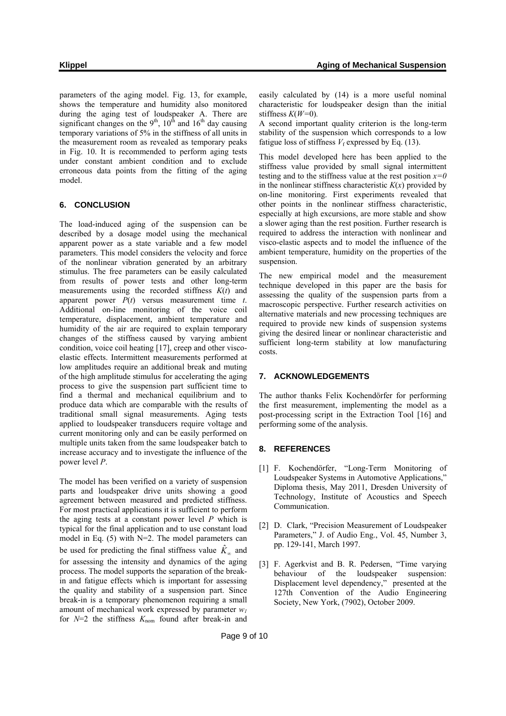parameters of the aging model. Fig. 13, for example, shows the temperature and humidity also monitored during the aging test of loudspeaker A. There are significant changes on the  $9<sup>th</sup>$ ,  $10<sup>th</sup>$  and  $16<sup>th</sup>$  day causing temporary variations of 5% in the stiffness of all units in the measurement room as revealed as temporary peaks in Fig. 10. It is recommended to perform aging tests under constant ambient condition and to exclude erroneous data points from the fitting of the aging model.

# **6. CONCLUSION**

The load-induced aging of the suspension can be described by a dosage model using the mechanical apparent power as a state variable and a few model parameters. This model considers the velocity and force of the nonlinear vibration generated by an arbitrary stimulus. The free parameters can be easily calculated from results of power tests and other long-term measurements using the recorded stiffness *K*(*t*) and apparent power *P*(*t*) versus measurement time *t*. Additional on-line monitoring of the voice coil temperature, displacement, ambient temperature and humidity of the air are required to explain temporary changes of the stiffness caused by varying ambient condition, voice coil heating [17], creep and other viscoelastic effects. Intermittent measurements performed at low amplitudes require an additional break and muting of the high amplitude stimulus for accelerating the aging process to give the suspension part sufficient time to find a thermal and mechanical equilibrium and to produce data which are comparable with the results of traditional small signal measurements. Aging tests applied to loudspeaker transducers require voltage and current monitoring only and can be easily performed on multiple units taken from the same loudspeaker batch to increase accuracy and to investigate the influence of the power level *P*.

The model has been verified on a variety of suspension parts and loudspeaker drive units showing a good agreement between measured and predicted stiffness. For most practical applications it is sufficient to perform the aging tests at a constant power level *P* which is typical for the final application and to use constant load model in Eq. (5) with N=2. The model parameters can be used for predicting the final stiffness value  $\hat{K}_{\infty}$  and for assessing the intensity and dynamics of the aging process. The model supports the separation of the breakin and fatigue effects which is important for assessing the quality and stability of a suspension part. Since break-in is a temporary phenomenon requiring a small amount of mechanical work expressed by parameter *w1* for  $N=2$  the stiffness  $K_{\text{nom}}$  found after break-in and

easily calculated by (14) is a more useful nominal characteristic for loudspeaker design than the initial stiffness  $K(W=0)$ .

A second important quality criterion is the long-term stability of the suspension which corresponds to a low fatigue loss of stiffness  $V_f$  expressed by Eq. (13).

This model developed here has been applied to the stiffness value provided by small signal intermittent testing and to the stiffness value at the rest position  $x=0$ in the nonlinear stiffness characteristic  $K(x)$  provided by on-line monitoring. First experiments revealed that other points in the nonlinear stiffness characteristic, especially at high excursions, are more stable and show a slower aging than the rest position. Further research is required to address the interaction with nonlinear and visco-elastic aspects and to model the influence of the ambient temperature, humidity on the properties of the suspension.

The new empirical model and the measurement technique developed in this paper are the basis for assessing the quality of the suspension parts from a macroscopic perspective. Further research activities on alternative materials and new processing techniques are required to provide new kinds of suspension systems giving the desired linear or nonlinear characteristic and sufficient long-term stability at low manufacturing costs.

# **7. ACKNOWLEDGEMENTS**

The author thanks Felix Kochendörfer for performing the first measurement, implementing the model as a post-processing script in the Extraction Tool [16] and performing some of the analysis.

#### **8. REFERENCES**

- [1] F. Kochendörfer, "Long-Term Monitoring of Loudspeaker Systems in Automotive Applications," Diploma thesis, May 2011, Dresden University of Technology, Institute of Acoustics and Speech Communication.
- [2] D. Clark, "Precision Measurement of Loudspeaker Parameters," J. of Audio Eng., Vol. 45, Number 3, pp. 129-141, March 1997.
- [3] F. Agerkvist and B. R. Pedersen, "Time varying behaviour of the loudspeaker suspension: Displacement level dependency," presented at the 127th Convention of the Audio Engineering Society, New York, (7902), October 2009.